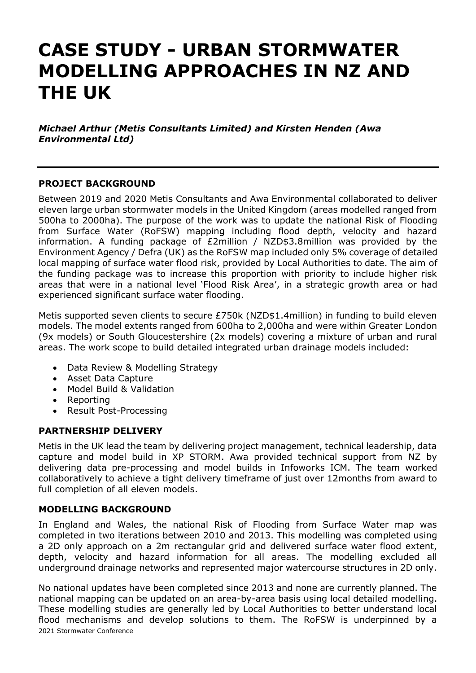# **CASE STUDY - URBAN STORMWATER MODELLING APPROACHES IN NZ AND THE UK**

*Michael Arthur (Metis Consultants Limited) and Kirsten Henden (Awa Environmental Ltd)*

#### **PROJECT BACKGROUND**

Between 2019 and 2020 Metis Consultants and Awa Environmental collaborated to deliver eleven large urban stormwater models in the United Kingdom (areas modelled ranged from 500ha to 2000ha). The purpose of the work was to update the national Risk of Flooding from Surface Water (RoFSW) mapping including flood depth, velocity and hazard information. A funding package of £2million / NZD\$3.8million was provided by the Environment Agency / Defra (UK) as the RoFSW map included only 5% coverage of detailed local mapping of surface water flood risk, provided by Local Authorities to date. The aim of the funding package was to increase this proportion with priority to include higher risk areas that were in a national level 'Flood Risk Area', in a strategic growth area or had experienced significant surface water flooding.

Metis supported seven clients to secure £750k (NZD\$1.4million) in funding to build eleven models. The model extents ranged from 600ha to 2,000ha and were within Greater London (9x models) or South Gloucestershire (2x models) covering a mixture of urban and rural areas. The work scope to build detailed integrated urban drainage models included:

- Data Review & Modelling Strategy
- Asset Data Capture
- Model Build & Validation
- Reporting
- Result Post-Processing

#### **PARTNERSHIP DELIVERY**

Metis in the UK lead the team by delivering project management, technical leadership, data capture and model build in XP STORM. Awa provided technical support from NZ by delivering data pre-processing and model builds in Infoworks ICM. The team worked collaboratively to achieve a tight delivery timeframe of just over 12months from award to full completion of all eleven models.

## **MODELLING BACKGROUND**

In England and Wales, the national Risk of Flooding from Surface Water map was completed in two iterations between 2010 and 2013. This modelling was completed using a 2D only approach on a 2m rectangular grid and delivered surface water flood extent, depth, velocity and hazard information for all areas. The modelling excluded all underground drainage networks and represented major watercourse structures in 2D only.

2021 Stormwater Conference No national updates have been completed since 2013 and none are currently planned. The national mapping can be updated on an area-by-area basis using local detailed modelling. These modelling studies are generally led by Local Authorities to better understand local flood mechanisms and develop solutions to them. The RoFSW is underpinned by a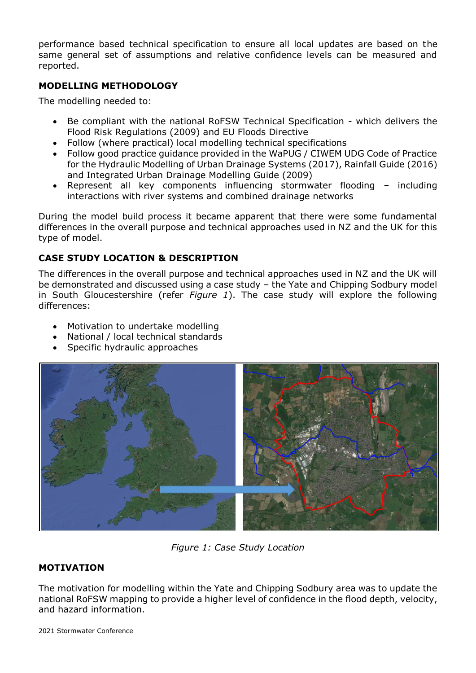performance based technical specification to ensure all local updates are based on the same general set of assumptions and relative confidence levels can be measured and reported.

## **MODELLING METHODOLOGY**

The modelling needed to:

- Be compliant with the national RoFSW Technical Specification which delivers the Flood Risk Regulations (2009) and EU Floods Directive
- Follow (where practical) local modelling technical specifications
- Follow good practice guidance provided in the WaPUG / CIWEM UDG Code of Practice for the Hydraulic Modelling of Urban Drainage Systems (2017), Rainfall Guide (2016) and Integrated Urban Drainage Modelling Guide (2009)
- Represent all key components influencing stormwater flooding including interactions with river systems and combined drainage networks

During the model build process it became apparent that there were some fundamental differences in the overall purpose and technical approaches used in NZ and the UK for this type of model.

## **CASE STUDY LOCATION & DESCRIPTION**

The differences in the overall purpose and technical approaches used in NZ and the UK will be demonstrated and discussed using a case study – the Yate and Chipping Sodbury model in South Gloucestershire (refer *Figure 1*). The case study will explore the following differences:

- Motivation to undertake modelling
- National / local technical standards
- Specific hydraulic approaches



*Figure 1: Case Study Location*

## **MOTIVATION**

The motivation for modelling within the Yate and Chipping Sodbury area was to update the national RoFSW mapping to provide a higher level of confidence in the flood depth, velocity, and hazard information.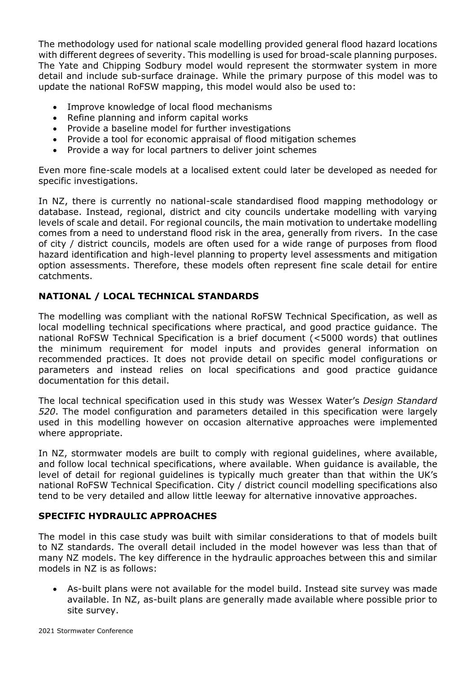The methodology used for national scale modelling provided general flood hazard locations with different degrees of severity. This modelling is used for broad-scale planning purposes. The Yate and Chipping Sodbury model would represent the stormwater system in more detail and include sub-surface drainage. While the primary purpose of this model was to update the national RoFSW mapping, this model would also be used to:

- Improve knowledge of local flood mechanisms
- Refine planning and inform capital works
- Provide a baseline model for further investigations
- Provide a tool for economic appraisal of flood mitigation schemes
- Provide a way for local partners to deliver joint schemes

Even more fine-scale models at a localised extent could later be developed as needed for specific investigations.

In NZ, there is currently no national-scale standardised flood mapping methodology or database. Instead, regional, district and city councils undertake modelling with varying levels of scale and detail. For regional councils, the main motivation to undertake modelling comes from a need to understand flood risk in the area, generally from rivers. In the case of city / district councils, models are often used for a wide range of purposes from flood hazard identification and high-level planning to property level assessments and mitigation option assessments. Therefore, these models often represent fine scale detail for entire catchments.

## **NATIONAL / LOCAL TECHNICAL STANDARDS**

The modelling was compliant with the national RoFSW Technical Specification, as well as local modelling technical specifications where practical, and good practice guidance. The national RoFSW Technical Specification is a brief document (<5000 words) that outlines the minimum requirement for model inputs and provides general information on recommended practices. It does not provide detail on specific model configurations or parameters and instead relies on local specifications and good practice guidance documentation for this detail.

The local technical specification used in this study was Wessex Water's *Design Standard 520*. The model configuration and parameters detailed in this specification were largely used in this modelling however on occasion alternative approaches were implemented where appropriate.

In NZ, stormwater models are built to comply with regional guidelines, where available, and follow local technical specifications, where available. When guidance is available, the level of detail for regional guidelines is typically much greater than that within the UK's national RoFSW Technical Specification. City / district council modelling specifications also tend to be very detailed and allow little leeway for alternative innovative approaches.

## **SPECIFIC HYDRAULIC APPROACHES**

The model in this case study was built with similar considerations to that of models built to NZ standards. The overall detail included in the model however was less than that of many NZ models. The key difference in the hydraulic approaches between this and similar models in NZ is as follows:

• As-built plans were not available for the model build. Instead site survey was made available. In NZ, as-built plans are generally made available where possible prior to site survey.